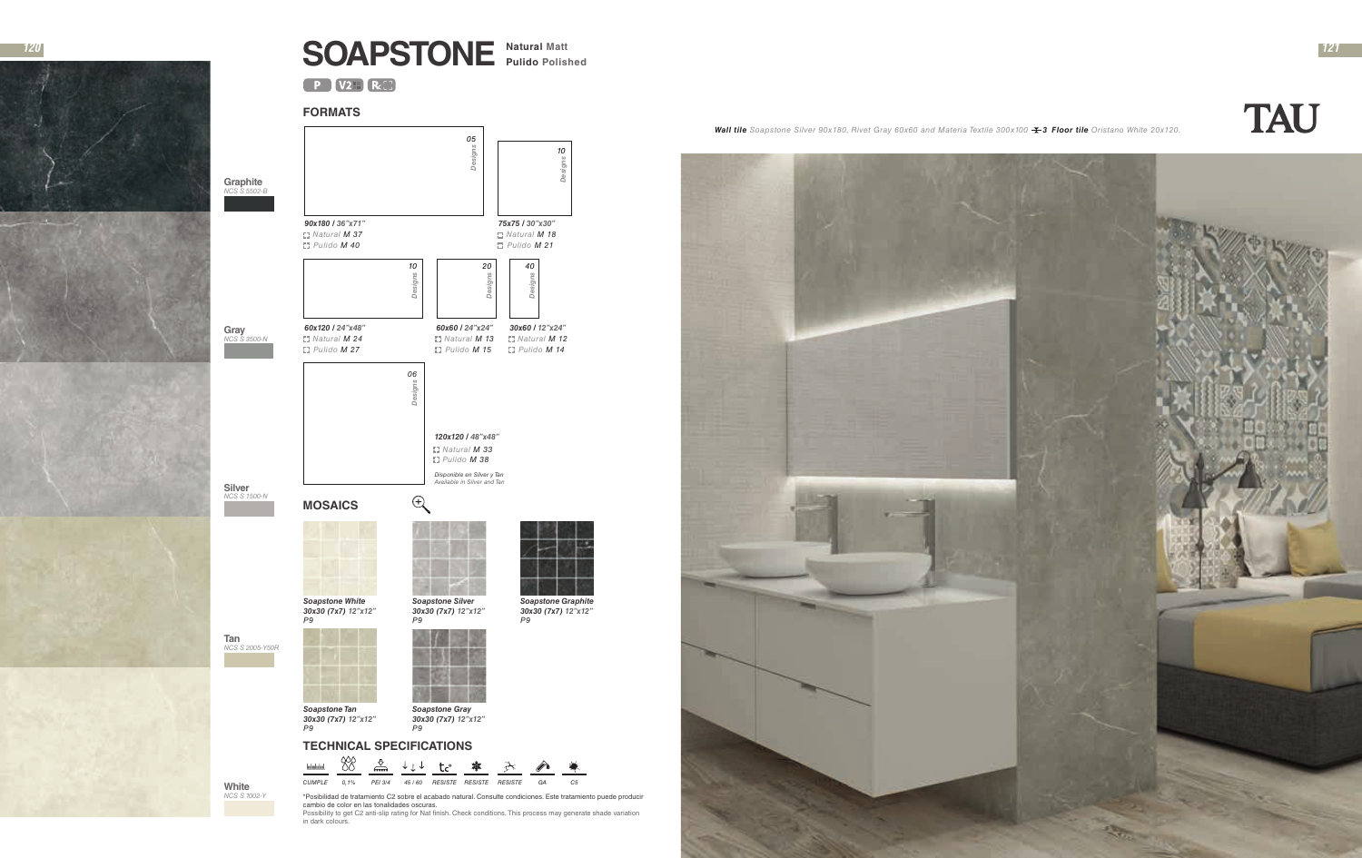

## **SOAPSTONE Natural Matt**<br> **Pulido** Polished

 $P$   $V2H$   $Rc$ 

**White** *NCS S 1002-Y*

**Silver** *NCS S 1500-N*

**Gray** *NCS S 3500-N*

**Graphite** *NCS S 5502-B*

## **FORMATS**



\*Posibilidad de tratamiento C2 sobre el acabado natural. Consulte condiciones. Este tratamiento puede producir cambio de color en las tonalidades oscuras.

Possibility to get C2 anti-slip rating for Nat finish. Check conditions. This process may generate shade variation in dark colours.

*Wall tile Soapstone Silver 90x180, Rivet Gray 60x60 and Materia Textile 300x100 3 Floor tile Oristano White 20x120.*